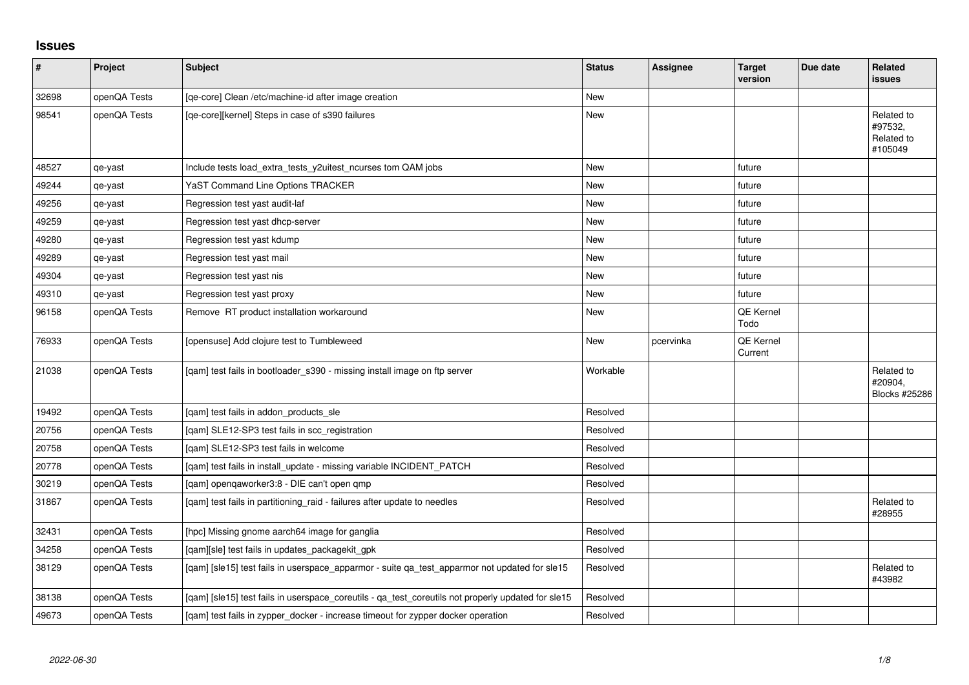## **Issues**

| $\sharp$ | Project      | Subject                                                                                            | <b>Status</b> | <b>Assignee</b> | <b>Target</b><br>version | Due date | <b>Related</b><br>issues                       |
|----------|--------------|----------------------------------------------------------------------------------------------------|---------------|-----------------|--------------------------|----------|------------------------------------------------|
| 32698    | openQA Tests | [ge-core] Clean /etc/machine-id after image creation                                               | <b>New</b>    |                 |                          |          |                                                |
| 98541    | openQA Tests | [qe-core][kernel] Steps in case of s390 failures                                                   | <b>New</b>    |                 |                          |          | Related to<br>#97532,<br>Related to<br>#105049 |
| 48527    | qe-yast      | Include tests load extra tests y2uitest nourses tom QAM jobs                                       | <b>New</b>    |                 | future                   |          |                                                |
| 49244    | qe-yast      | YaST Command Line Options TRACKER                                                                  | <b>New</b>    |                 | future                   |          |                                                |
| 49256    | qe-yast      | Regression test yast audit-laf                                                                     | <b>New</b>    |                 | future                   |          |                                                |
| 49259    | qe-yast      | Regression test yast dhcp-server                                                                   | <b>New</b>    |                 | future                   |          |                                                |
| 49280    | qe-yast      | Regression test yast kdump                                                                         | <b>New</b>    |                 | future                   |          |                                                |
| 49289    | qe-yast      | Regression test yast mail                                                                          | New           |                 | future                   |          |                                                |
| 49304    | qe-yast      | Regression test yast nis                                                                           | <b>New</b>    |                 | future                   |          |                                                |
| 49310    | qe-yast      | Regression test yast proxy                                                                         | New           |                 | future                   |          |                                                |
| 96158    | openQA Tests | Remove RT product installation workaround                                                          | New           |                 | QE Kernel<br>Todo        |          |                                                |
| 76933    | openQA Tests | [opensuse] Add clojure test to Tumbleweed                                                          | <b>New</b>    | pcervinka       | QE Kernel<br>Current     |          |                                                |
| 21038    | openQA Tests | [qam] test fails in bootloader_s390 - missing install image on ftp server                          | Workable      |                 |                          |          | Related to<br>#20904,<br>Blocks #25286         |
| 19492    | openQA Tests | [qam] test fails in addon_products_sle                                                             | Resolved      |                 |                          |          |                                                |
| 20756    | openQA Tests | [qam] SLE12-SP3 test fails in scc_registration                                                     | Resolved      |                 |                          |          |                                                |
| 20758    | openQA Tests | [qam] SLE12-SP3 test fails in welcome                                                              | Resolved      |                 |                          |          |                                                |
| 20778    | openQA Tests | [qam] test fails in install_update - missing variable INCIDENT_PATCH                               | Resolved      |                 |                          |          |                                                |
| 30219    | openQA Tests | [qam] openqaworker3:8 - DIE can't open qmp                                                         | Resolved      |                 |                          |          |                                                |
| 31867    | openQA Tests | [qam] test fails in partitioning_raid - failures after update to needles                           | Resolved      |                 |                          |          | Related to<br>#28955                           |
| 32431    | openQA Tests | [hpc] Missing gnome aarch64 image for ganglia                                                      | Resolved      |                 |                          |          |                                                |
| 34258    | openQA Tests | [qam][sle] test fails in updates_packagekit_gpk                                                    | Resolved      |                 |                          |          |                                                |
| 38129    | openQA Tests | [qam] [sle15] test fails in userspace_apparmor - suite qa_test_apparmor not updated for sle15      | Resolved      |                 |                          |          | Related to<br>#43982                           |
| 38138    | openQA Tests | [qam] [sle15] test fails in userspace_coreutils - qa_test_coreutils not properly updated for sle15 | Resolved      |                 |                          |          |                                                |
| 49673    | openQA Tests | [gam] test fails in zypper docker - increase timeout for zypper docker operation                   | Resolved      |                 |                          |          |                                                |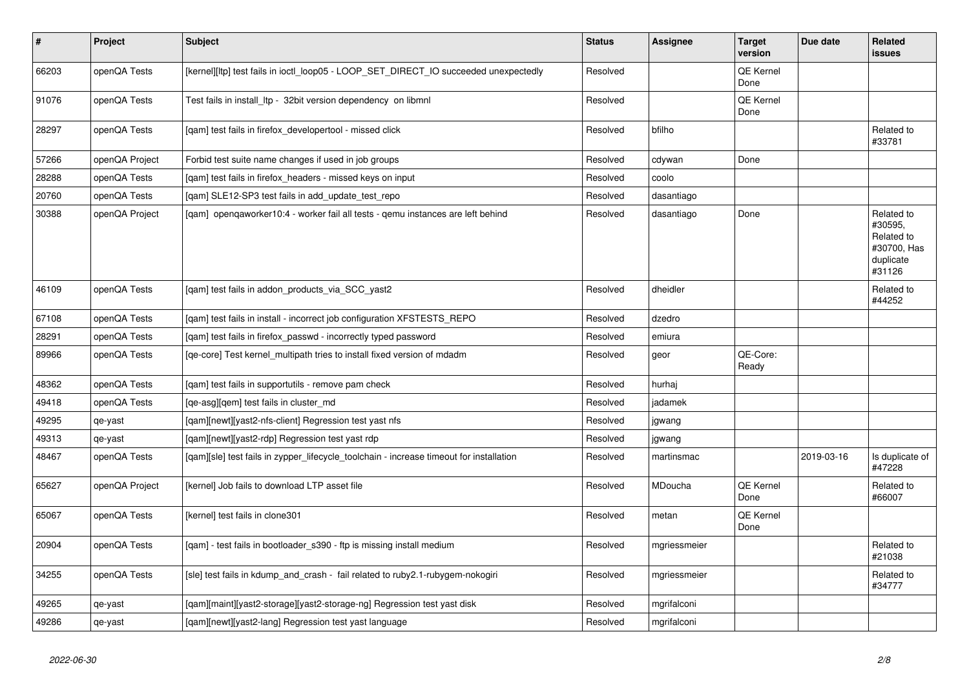| $\sharp$ | Project        | <b>Subject</b>                                                                          | <b>Status</b> | Assignee     | <b>Target</b><br>version | Due date   | Related<br><b>issues</b>                                                  |
|----------|----------------|-----------------------------------------------------------------------------------------|---------------|--------------|--------------------------|------------|---------------------------------------------------------------------------|
| 66203    | openQA Tests   | [kernel][ltp] test fails in ioctl loop05 - LOOP SET DIRECT IO succeeded unexpectedly    | Resolved      |              | QE Kernel<br>Done        |            |                                                                           |
| 91076    | openQA Tests   | Test fails in install_ltp - 32bit version dependency on libmnl                          | Resolved      |              | <b>QE Kernel</b><br>Done |            |                                                                           |
| 28297    | openQA Tests   | [gam] test fails in firefox developertool - missed click                                | Resolved      | bfilho       |                          |            | Related to<br>#33781                                                      |
| 57266    | openQA Project | Forbid test suite name changes if used in job groups                                    | Resolved      | cdywan       | Done                     |            |                                                                           |
| 28288    | openQA Tests   | [gam] test fails in firefox headers - missed keys on input                              | Resolved      | coolo        |                          |            |                                                                           |
| 20760    | openQA Tests   | [qam] SLE12-SP3 test fails in add_update_test_repo                                      | Resolved      | dasantiago   |                          |            |                                                                           |
| 30388    | openQA Project | [gam] opengaworker10:4 - worker fail all tests - gemu instances are left behind         | Resolved      | dasantiago   | Done                     |            | Related to<br>#30595,<br>Related to<br>#30700, Has<br>duplicate<br>#31126 |
| 46109    | openQA Tests   | [qam] test fails in addon_products_via_SCC_yast2                                        | Resolved      | dheidler     |                          |            | Related to<br>#44252                                                      |
| 67108    | openQA Tests   | [qam] test fails in install - incorrect job configuration XFSTESTS_REPO                 | Resolved      | dzedro       |                          |            |                                                                           |
| 28291    | openQA Tests   | [qam] test fails in firefox_passwd - incorrectly typed password                         | Resolved      | emiura       |                          |            |                                                                           |
| 89966    | openQA Tests   | [qe-core] Test kernel_multipath tries to install fixed version of mdadm                 | Resolved      | geor         | QE-Core:<br>Ready        |            |                                                                           |
| 48362    | openQA Tests   | [qam] test fails in supportutils - remove pam check                                     | Resolved      | hurhaj       |                          |            |                                                                           |
| 49418    | openQA Tests   | [ge-asg][gem] test fails in cluster md                                                  | Resolved      | jadamek      |                          |            |                                                                           |
| 49295    | qe-yast        | [qam][newt][yast2-nfs-client] Regression test yast nfs                                  | Resolved      | jgwang       |                          |            |                                                                           |
| 49313    | qe-yast        | [qam][newt][yast2-rdp] Regression test yast rdp                                         | Resolved      | jgwang       |                          |            |                                                                           |
| 48467    | openQA Tests   | [gam][sle] test fails in zypper lifecycle toolchain - increase timeout for installation | Resolved      | martinsmac   |                          | 2019-03-16 | Is duplicate of<br>#47228                                                 |
| 65627    | openQA Project | [kernel] Job fails to download LTP asset file                                           | Resolved      | MDoucha      | QE Kernel<br>Done        |            | Related to<br>#66007                                                      |
| 65067    | openQA Tests   | [kernel] test fails in clone301                                                         | Resolved      | metan        | QE Kernel<br>Done        |            |                                                                           |
| 20904    | openQA Tests   | [gam] - test fails in bootloader s390 - ftp is missing install medium                   | Resolved      | mgriessmeier |                          |            | Related to<br>#21038                                                      |
| 34255    | openQA Tests   | [sle] test fails in kdump_and_crash - fail related to ruby2.1-rubygem-nokogiri          | Resolved      | mgriessmeier |                          |            | Related to<br>#34777                                                      |
| 49265    | qe-yast        | [qam][maint][yast2-storage][yast2-storage-ng] Regression test yast disk                 | Resolved      | mgrifalconi  |                          |            |                                                                           |
| 49286    | qe-yast        | [gam][newt][yast2-lang] Regression test yast language                                   | Resolved      | mgrifalconi  |                          |            |                                                                           |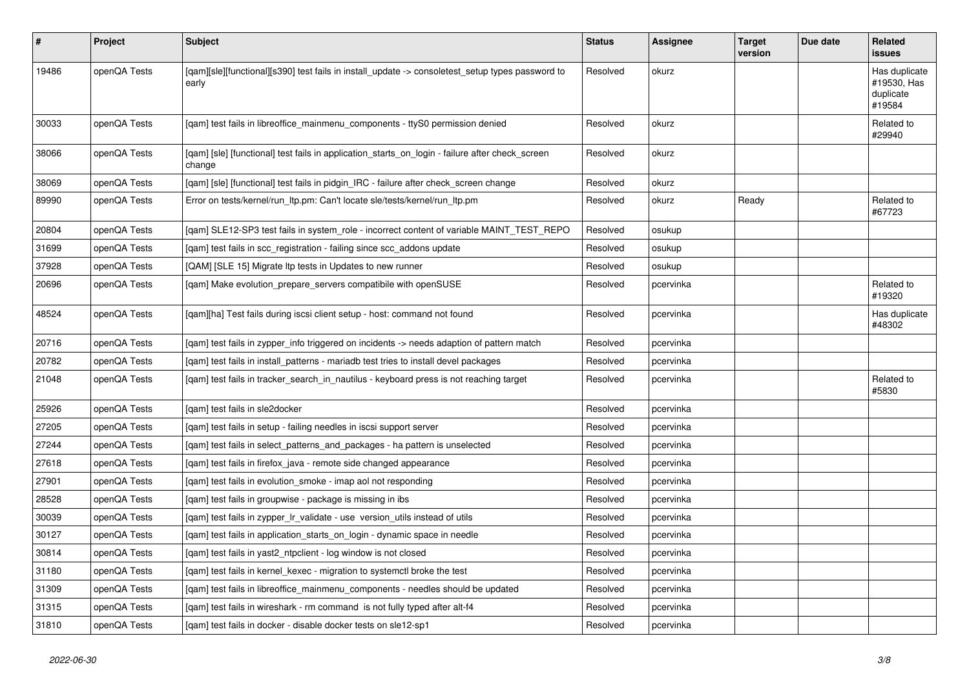| #     | Project      | <b>Subject</b>                                                                                            | <b>Status</b> | Assignee  | <b>Target</b><br>version | Due date | <b>Related</b><br><b>issues</b>                     |
|-------|--------------|-----------------------------------------------------------------------------------------------------------|---------------|-----------|--------------------------|----------|-----------------------------------------------------|
| 19486 | openQA Tests | [gam][sle][functional][s390] test fails in install update -> consoletest setup types password to<br>early | Resolved      | okurz     |                          |          | Has duplicate<br>#19530, Has<br>duplicate<br>#19584 |
| 30033 | openQA Tests | [gam] test fails in libreoffice mainmenu components - ttyS0 permission denied                             | Resolved      | okurz     |                          |          | Related to<br>#29940                                |
| 38066 | openQA Tests | [qam] [sle] [functional] test fails in application_starts_on_login - failure after check_screen<br>change | Resolved      | okurz     |                          |          |                                                     |
| 38069 | openQA Tests | [gam] [sle] [functional] test fails in pidgin IRC - failure after check screen change                     | Resolved      | okurz     |                          |          |                                                     |
| 89990 | openQA Tests | Error on tests/kernel/run ltp.pm: Can't locate sle/tests/kernel/run ltp.pm                                | Resolved      | okurz     | Ready                    |          | Related to<br>#67723                                |
| 20804 | openQA Tests | [qam] SLE12-SP3 test fails in system_role - incorrect content of variable MAINT_TEST_REPO                 | Resolved      | osukup    |                          |          |                                                     |
| 31699 | openQA Tests | [qam] test fails in scc_registration - failing since scc_addons update                                    | Resolved      | osukup    |                          |          |                                                     |
| 37928 | openQA Tests | [QAM] [SLE 15] Migrate Itp tests in Updates to new runner                                                 | Resolved      | osukup    |                          |          |                                                     |
| 20696 | openQA Tests | [gam] Make evolution prepare servers compatibile with openSUSE                                            | Resolved      | pcervinka |                          |          | Related to<br>#19320                                |
| 48524 | openQA Tests | [gam][ha] Test fails during iscsi client setup - host: command not found                                  | Resolved      | pcervinka |                          |          | Has duplicate<br>#48302                             |
| 20716 | openQA Tests | [qam] test fails in zypper_info triggered on incidents -> needs adaption of pattern match                 | Resolved      | pcervinka |                          |          |                                                     |
| 20782 | openQA Tests | [gam] test fails in install patterns - mariadb test tries to install devel packages                       | Resolved      | pcervinka |                          |          |                                                     |
| 21048 | openQA Tests | [gam] test fails in tracker search in nautilus - keyboard press is not reaching target                    | Resolved      | pcervinka |                          |          | Related to<br>#5830                                 |
| 25926 | openQA Tests | [gam] test fails in sle2docker                                                                            | Resolved      | pcervinka |                          |          |                                                     |
| 27205 | openQA Tests | [gam] test fails in setup - failing needles in iscsi support server                                       | Resolved      | pcervinka |                          |          |                                                     |
| 27244 | openQA Tests | [qam] test fails in select_patterns_and_packages - ha pattern is unselected                               | Resolved      | pcervinka |                          |          |                                                     |
| 27618 | openQA Tests | [gam] test fails in firefox java - remote side changed appearance                                         | Resolved      | pcervinka |                          |          |                                                     |
| 27901 | openQA Tests | [gam] test fails in evolution smoke - imap aol not responding                                             | Resolved      | pcervinka |                          |          |                                                     |
| 28528 | openQA Tests | [gam] test fails in groupwise - package is missing in ibs                                                 | Resolved      | pcervinka |                          |          |                                                     |
| 30039 | openQA Tests | [gam] test fails in zypper Ir validate - use version utils instead of utils                               | Resolved      | pcervinka |                          |          |                                                     |
| 30127 | openQA Tests | [qam] test fails in application_starts_on_login - dynamic space in needle                                 | Resolved      | pcervinka |                          |          |                                                     |
| 30814 | openQA Tests | [gam] test fails in yast2 ntpclient - log window is not closed                                            | Resolved      | pcervinka |                          |          |                                                     |
| 31180 | openQA Tests | [gam] test fails in kernel kexec - migration to systemctl broke the test                                  | Resolved      | pcervinka |                          |          |                                                     |
| 31309 | openQA Tests | [gam] test fails in libreoffice mainmenu components - needles should be updated                           | Resolved      | pcervinka |                          |          |                                                     |
| 31315 | openQA Tests | [gam] test fails in wireshark - rm command is not fully typed after alt-f4                                | Resolved      | pcervinka |                          |          |                                                     |
| 31810 | openQA Tests | [gam] test fails in docker - disable docker tests on sle12-sp1                                            | Resolved      | pcervinka |                          |          |                                                     |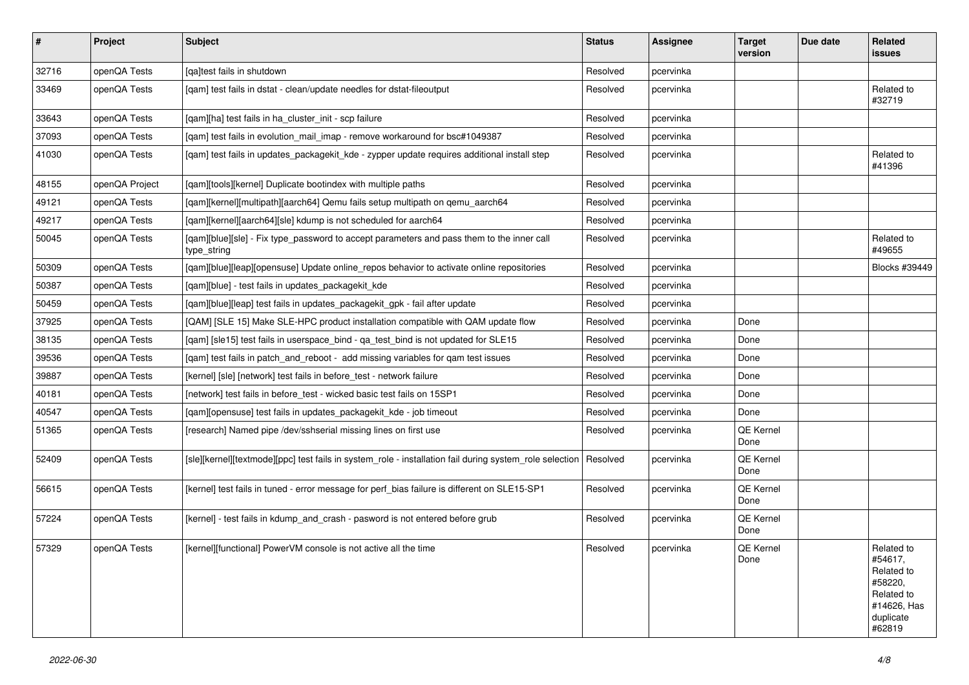| $\vert$ # | Project        | <b>Subject</b>                                                                                                     | <b>Status</b> | Assignee  | <b>Target</b><br>version | Due date | <b>Related</b><br><b>issues</b>                                                                    |
|-----------|----------------|--------------------------------------------------------------------------------------------------------------------|---------------|-----------|--------------------------|----------|----------------------------------------------------------------------------------------------------|
| 32716     | openQA Tests   | [ga]test fails in shutdown                                                                                         | Resolved      | pcervinka |                          |          |                                                                                                    |
| 33469     | openQA Tests   | [gam] test fails in dstat - clean/update needles for dstat-fileoutput                                              | Resolved      | pcervinka |                          |          | Related to<br>#32719                                                                               |
| 33643     | openQA Tests   | [qam][ha] test fails in ha_cluster_init - scp failure                                                              | Resolved      | pcervinka |                          |          |                                                                                                    |
| 37093     | openQA Tests   | [gam] test fails in evolution mail imap - remove workaround for bsc#1049387                                        | Resolved      | pcervinka |                          |          |                                                                                                    |
| 41030     | openQA Tests   | [qam] test fails in updates_packagekit_kde - zypper update requires additional install step                        | Resolved      | pcervinka |                          |          | Related to<br>#41396                                                                               |
| 48155     | openQA Project | [gam][tools][kernel] Duplicate bootindex with multiple paths                                                       | Resolved      | pcervinka |                          |          |                                                                                                    |
| 49121     | openQA Tests   | [gam][kernel][multipath][aarch64] Qemu fails setup multipath on gemu aarch64                                       | Resolved      | pcervinka |                          |          |                                                                                                    |
| 49217     | openQA Tests   | [qam][kernel][aarch64][sle] kdump is not scheduled for aarch64                                                     | Resolved      | pcervinka |                          |          |                                                                                                    |
| 50045     | openQA Tests   | [gam][blue][sle] - Fix type password to accept parameters and pass them to the inner call<br>type_string           | Resolved      | pcervinka |                          |          | Related to<br>#49655                                                                               |
| 50309     | openQA Tests   | [gam][blue][leap][opensuse] Update online repos behavior to activate online repositories                           | Resolved      | pcervinka |                          |          | Blocks #39449                                                                                      |
| 50387     | openQA Tests   | [gam][blue] - test fails in updates packagekit kde                                                                 | Resolved      | pcervinka |                          |          |                                                                                                    |
| 50459     | openQA Tests   | [qam][blue][leap] test fails in updates_packagekit_gpk - fail after update                                         | Resolved      | pcervinka |                          |          |                                                                                                    |
| 37925     | openQA Tests   | [QAM] [SLE 15] Make SLE-HPC product installation compatible with QAM update flow                                   | Resolved      | pcervinka | Done                     |          |                                                                                                    |
| 38135     | openQA Tests   | [gam] [sle15] test fails in userspace bind - ga test bind is not updated for SLE15                                 | Resolved      | pcervinka | Done                     |          |                                                                                                    |
| 39536     | openQA Tests   | [gam] test fails in patch and reboot - add missing variables for gam test issues                                   | Resolved      | pcervinka | Done                     |          |                                                                                                    |
| 39887     | openQA Tests   | [kernel] [sle] [network] test fails in before test - network failure                                               | Resolved      | pcervinka | Done                     |          |                                                                                                    |
| 40181     | openQA Tests   | [network] test fails in before_test - wicked basic test fails on 15SP1                                             | Resolved      | pcervinka | Done                     |          |                                                                                                    |
| 40547     | openQA Tests   | [qam][opensuse] test fails in updates_packagekit_kde - job timeout                                                 | Resolved      | pcervinka | Done                     |          |                                                                                                    |
| 51365     | openQA Tests   | [research] Named pipe /dev/sshserial missing lines on first use                                                    | Resolved      | pcervinka | QE Kernel<br>Done        |          |                                                                                                    |
| 52409     | openQA Tests   | [sle][kernel][textmode][ppc] test fails in system_role - installation fail during system_role selection   Resolved |               | pcervinka | QE Kernel<br>Done        |          |                                                                                                    |
| 56615     | openQA Tests   | [kernel] test fails in tuned - error message for perf_bias failure is different on SLE15-SP1                       | Resolved      | pcervinka | QE Kernel<br>Done        |          |                                                                                                    |
| 57224     | openQA Tests   | [kernel] - test fails in kdump_and_crash - pasword is not entered before grub                                      | Resolved      | pcervinka | QE Kernel<br>Done        |          |                                                                                                    |
| 57329     | openQA Tests   | [kernel][functional] PowerVM console is not active all the time                                                    | Resolved      | pcervinka | QE Kernel<br>Done        |          | Related to<br>#54617.<br>Related to<br>#58220,<br>Related to<br>#14626, Has<br>duplicate<br>#62819 |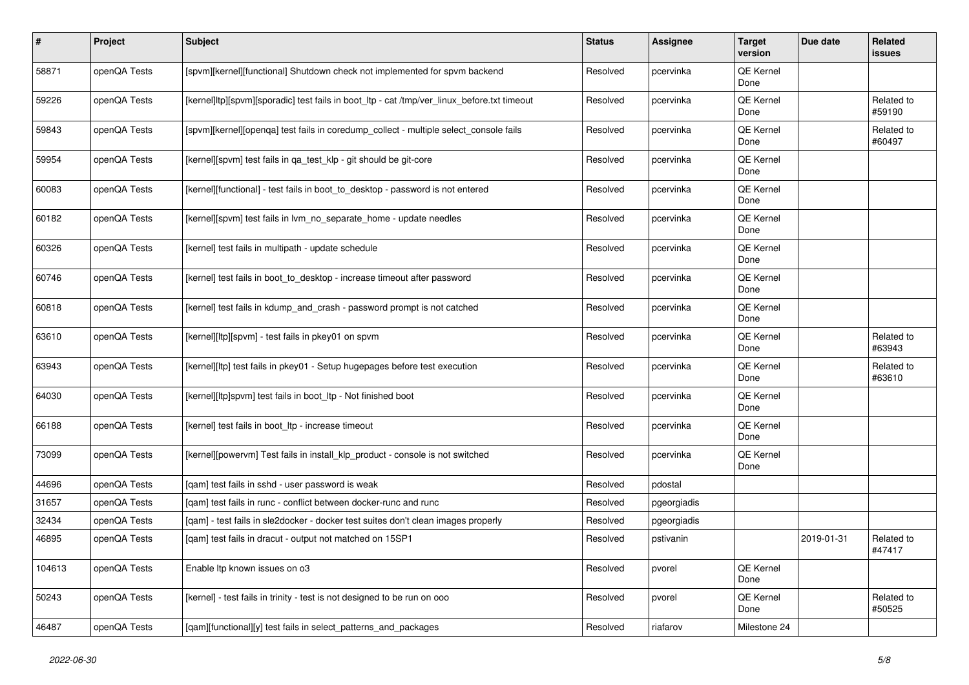| $\sharp$ | <b>Project</b> | Subject                                                                                     | <b>Status</b> | Assignee    | <b>Target</b><br>version | Due date   | <b>Related</b><br>issues |
|----------|----------------|---------------------------------------------------------------------------------------------|---------------|-------------|--------------------------|------------|--------------------------|
| 58871    | openQA Tests   | [spvm][kernel][functional] Shutdown check not implemented for spvm backend                  | Resolved      | pcervinka   | QE Kernel<br>Done        |            |                          |
| 59226    | openQA Tests   | [kernel]ltp][spvm][sporadic] test fails in boot_ltp - cat /tmp/ver_linux_before.txt timeout | Resolved      | pcervinka   | QE Kernel<br>Done        |            | Related to<br>#59190     |
| 59843    | openQA Tests   | [spvm][kernel][openqa] test fails in coredump_collect - multiple select_console fails       | Resolved      | pcervinka   | QE Kernel<br>Done        |            | Related to<br>#60497     |
| 59954    | openQA Tests   | [kernel][spvm] test fails in qa_test_klp - git should be git-core                           | Resolved      | pcervinka   | QE Kernel<br>Done        |            |                          |
| 60083    | openQA Tests   | [kernel][functional] - test fails in boot_to_desktop - password is not entered              | Resolved      | pcervinka   | QE Kernel<br>Done        |            |                          |
| 60182    | openQA Tests   | [kernel][spvm] test fails in lvm_no_separate_home - update needles                          | Resolved      | pcervinka   | QE Kernel<br>Done        |            |                          |
| 60326    | openQA Tests   | [kernel] test fails in multipath - update schedule                                          | Resolved      | pcervinka   | QE Kernel<br>Done        |            |                          |
| 60746    | openQA Tests   | [kernel] test fails in boot to desktop - increase timeout after password                    | Resolved      | pcervinka   | QE Kernel<br>Done        |            |                          |
| 60818    | openQA Tests   | [kernel] test fails in kdump_and_crash - password prompt is not catched                     | Resolved      | pcervinka   | QE Kernel<br>Done        |            |                          |
| 63610    | openQA Tests   | [kernel][ltp][spvm] - test fails in pkey01 on spvm                                          | Resolved      | pcervinka   | QE Kernel<br>Done        |            | Related to<br>#63943     |
| 63943    | openQA Tests   | [kernel][ltp] test fails in pkey01 - Setup hugepages before test execution                  | Resolved      | pcervinka   | QE Kernel<br>Done        |            | Related to<br>#63610     |
| 64030    | openQA Tests   | [kernel][ltp]spvm] test fails in boot_ltp - Not finished boot                               | Resolved      | pcervinka   | QE Kernel<br>Done        |            |                          |
| 66188    | openQA Tests   | [kernel] test fails in boot_ltp - increase timeout                                          | Resolved      | pcervinka   | QE Kernel<br>Done        |            |                          |
| 73099    | openQA Tests   | [kernel][powervm] Test fails in install_klp_product - console is not switched               | Resolved      | pcervinka   | QE Kernel<br>Done        |            |                          |
| 44696    | openQA Tests   | [gam] test fails in sshd - user password is weak                                            | Resolved      | pdostal     |                          |            |                          |
| 31657    | openQA Tests   | [qam] test fails in runc - conflict between docker-runc and runc                            | Resolved      | pgeorgiadis |                          |            |                          |
| 32434    | openQA Tests   | [gam] - test fails in sle2docker - docker test suites don't clean images properly           | Resolved      | pgeorgiadis |                          |            |                          |
| 46895    | openQA Tests   | [gam] test fails in dracut - output not matched on 15SP1                                    | Resolved      | pstivanin   |                          | 2019-01-31 | Related to<br>#4/41/     |
| 104613   | openQA Tests   | Enable Itp known issues on o3                                                               | Resolved      | pvorel      | QE Kernel<br>Done        |            |                          |
| 50243    | openQA Tests   | [kernel] - test fails in trinity - test is not designed to be run on ooo                    | Resolved      | pvorel      | QE Kernel<br>Done        |            | Related to<br>#50525     |
| 46487    | openQA Tests   | [qam][functional][y] test fails in select_patterns_and_packages                             | Resolved      | riafarov    | Milestone 24             |            |                          |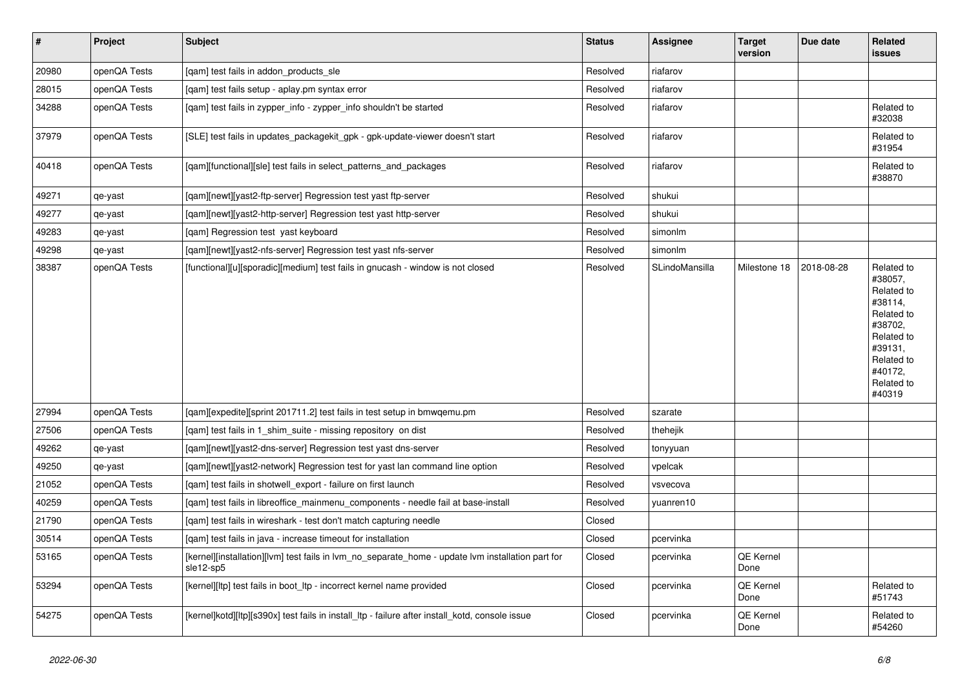| $\vert$ # | <b>Project</b> | <b>Subject</b>                                                                                                 | <b>Status</b> | <b>Assignee</b> | <b>Target</b><br>version | Due date   | <b>Related</b><br>issues                                                                                                                          |
|-----------|----------------|----------------------------------------------------------------------------------------------------------------|---------------|-----------------|--------------------------|------------|---------------------------------------------------------------------------------------------------------------------------------------------------|
| 20980     | openQA Tests   | [qam] test fails in addon_products_sle                                                                         | Resolved      | riafarov        |                          |            |                                                                                                                                                   |
| 28015     | openQA Tests   | [qam] test fails setup - aplay.pm syntax error                                                                 | Resolved      | riafarov        |                          |            |                                                                                                                                                   |
| 34288     | openQA Tests   | [qam] test fails in zypper_info - zypper_info shouldn't be started                                             | Resolved      | riafarov        |                          |            | Related to<br>#32038                                                                                                                              |
| 37979     | openQA Tests   | [SLE] test fails in updates_packagekit_gpk - gpk-update-viewer doesn't start                                   | Resolved      | riafarov        |                          |            | Related to<br>#31954                                                                                                                              |
| 40418     | openQA Tests   | [gam][functional][sle] test fails in select patterns and packages                                              | Resolved      | riafarov        |                          |            | Related to<br>#38870                                                                                                                              |
| 49271     | qe-yast        | [gam][newt][yast2-ftp-server] Regression test yast ftp-server                                                  | Resolved      | shukui          |                          |            |                                                                                                                                                   |
| 49277     | qe-yast        | [qam][newt][yast2-http-server] Regression test yast http-server                                                | Resolved      | shukui          |                          |            |                                                                                                                                                   |
| 49283     | qe-yast        | [qam] Regression test yast keyboard                                                                            | Resolved      | simonlm         |                          |            |                                                                                                                                                   |
| 49298     | qe-yast        | [qam][newt][yast2-nfs-server] Regression test yast nfs-server                                                  | Resolved      | simonlm         |                          |            |                                                                                                                                                   |
| 38387     | openQA Tests   | [functional][u][sporadic][medium] test fails in gnucash - window is not closed                                 | Resolved      | SLindoMansilla  | Milestone 18             | 2018-08-28 | Related to<br>#38057,<br>Related to<br>#38114.<br>Related to<br>#38702.<br>Related to<br>#39131,<br>Related to<br>#40172,<br>Related to<br>#40319 |
| 27994     | openQA Tests   | [qam][expedite][sprint 201711.2] test fails in test setup in bmwqemu.pm                                        | Resolved      | szarate         |                          |            |                                                                                                                                                   |
| 27506     | openQA Tests   | [qam] test fails in 1_shim_suite - missing repository on dist                                                  | Resolved      | thehejik        |                          |            |                                                                                                                                                   |
| 49262     | qe-yast        | [qam][newt][yast2-dns-server] Regression test yast dns-server                                                  | Resolved      | tonyyuan        |                          |            |                                                                                                                                                   |
| 49250     | qe-yast        | [gam][newt][yast2-network] Regression test for yast lan command line option                                    | Resolved      | vpelcak         |                          |            |                                                                                                                                                   |
| 21052     | openQA Tests   | [qam] test fails in shotwell_export - failure on first launch                                                  | Resolved      | vsvecova        |                          |            |                                                                                                                                                   |
| 40259     | openQA Tests   | [qam] test fails in libreoffice_mainmenu_components - needle fail at base-install                              | Resolved      | yuanren10       |                          |            |                                                                                                                                                   |
| 21790     | openQA Tests   | [qam] test fails in wireshark - test don't match capturing needle                                              | Closed        |                 |                          |            |                                                                                                                                                   |
| 30514     | openQA Tests   | [gam] test fails in java - increase timeout for installation                                                   | Closed        | pcervinka       |                          |            |                                                                                                                                                   |
| 53165     | openQA Tests   | [kernel][installation][lvm] test fails in lvm_no_separate_home - update lvm installation part for<br>sle12-sp5 | Closed        | pcervinka       | QE Kernel<br>Done        |            |                                                                                                                                                   |
| 53294     | openQA Tests   | [kernel][ltp] test fails in boot_ltp - incorrect kernel name provided                                          | Closed        | pcervinka       | QE Kernel<br>Done        |            | Related to<br>#51743                                                                                                                              |
| 54275     | openQA Tests   | [kernel]kotd][ltp][s390x] test fails in install_ltp - failure after install_kotd, console issue                | Closed        | pcervinka       | QE Kernel<br>Done        |            | Related to<br>#54260                                                                                                                              |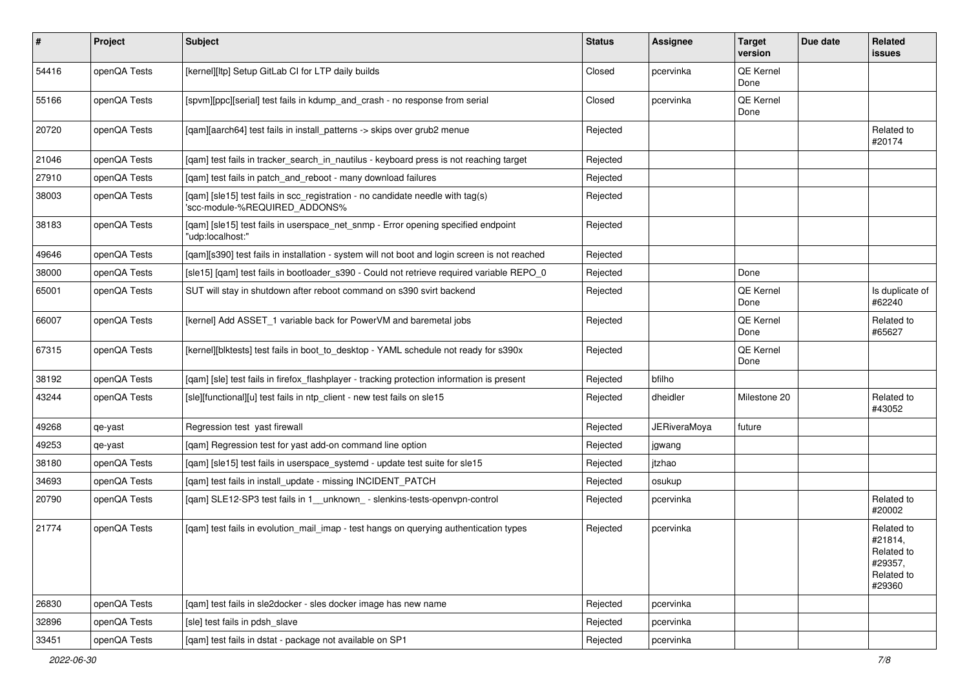| #     | <b>Project</b> | Subject                                                                                                         | <b>Status</b> | Assignee            | <b>Target</b><br>version | Due date | <b>Related</b><br>issues                                               |
|-------|----------------|-----------------------------------------------------------------------------------------------------------------|---------------|---------------------|--------------------------|----------|------------------------------------------------------------------------|
| 54416 | openQA Tests   | [kernel][ltp] Setup GitLab CI for LTP daily builds                                                              | Closed        | pcervinka           | QE Kernel<br>Done        |          |                                                                        |
| 55166 | openQA Tests   | [spvm][ppc][serial] test fails in kdump and crash - no response from serial                                     | Closed        | pcervinka           | QE Kernel<br>Done        |          |                                                                        |
| 20720 | openQA Tests   | [qam][aarch64] test fails in install_patterns -> skips over grub2 menue                                         | Rejected      |                     |                          |          | Related to<br>#20174                                                   |
| 21046 | openQA Tests   | [qam] test fails in tracker_search_in_nautilus - keyboard press is not reaching target                          | Rejected      |                     |                          |          |                                                                        |
| 27910 | openQA Tests   | [gam] test fails in patch and reboot - many download failures                                                   | Rejected      |                     |                          |          |                                                                        |
| 38003 | openQA Tests   | [qam] [sle15] test fails in scc_registration - no candidate needle with tag(s)<br>'scc-module-%REQUIRED_ADDONS% | Rejected      |                     |                          |          |                                                                        |
| 38183 | openQA Tests   | [qam] [sle15] test fails in userspace_net_snmp - Error opening specified endpoint<br>"udp:localhost:"           | Rejected      |                     |                          |          |                                                                        |
| 49646 | openQA Tests   | [qam][s390] test fails in installation - system will not boot and login screen is not reached                   | Rejected      |                     |                          |          |                                                                        |
| 38000 | openQA Tests   | [sle15] [qam] test fails in bootloader_s390 - Could not retrieve required variable REPO_0                       | Rejected      |                     | Done                     |          |                                                                        |
| 65001 | openQA Tests   | SUT will stay in shutdown after reboot command on s390 svirt backend                                            | Rejected      |                     | QE Kernel<br>Done        |          | Is duplicate of<br>#62240                                              |
| 66007 | openQA Tests   | [kernel] Add ASSET 1 variable back for PowerVM and baremetal jobs                                               | Rejected      |                     | QE Kernel<br>Done        |          | Related to<br>#65627                                                   |
| 67315 | openQA Tests   | [kernel][blktests] test fails in boot_to_desktop - YAML schedule not ready for s390x                            | Rejected      |                     | QE Kernel<br>Done        |          |                                                                        |
| 38192 | openQA Tests   | [gam] [sle] test fails in firefox flashplayer - tracking protection information is present                      | Rejected      | bfilho              |                          |          |                                                                        |
| 43244 | openQA Tests   | [sle][functional][u] test fails in ntp_client - new test fails on sle15                                         | Rejected      | dheidler            | Milestone 20             |          | Related to<br>#43052                                                   |
| 49268 | qe-yast        | Regression test yast firewall                                                                                   | Rejected      | <b>JERiveraMoya</b> | future                   |          |                                                                        |
| 49253 | qe-yast        | [qam] Regression test for yast add-on command line option                                                       | Rejected      | jgwang              |                          |          |                                                                        |
| 38180 | openQA Tests   | [qam] [sle15] test fails in userspace_systemd - update test suite for sle15                                     | Rejected      | itzhao              |                          |          |                                                                        |
| 34693 | openQA Tests   | [qam] test fails in install_update - missing INCIDENT_PATCH                                                     | Rejected      | osukup              |                          |          |                                                                        |
| 20790 | openQA Tests   | [qam] SLE12-SP3 test fails in 1__unknown_ - slenkins-tests-openvpn-control                                      | Rejected      | pcervinka           |                          |          | Related to<br>#20002                                                   |
| 21774 | openQA Tests   | [qam] test fails in evolution_mail_imap - test hangs on querying authentication types                           | Rejected      | pcervinka           |                          |          | Related to<br>#21814,<br>Related to<br>#29357,<br>Related to<br>#29360 |
| 26830 | openQA Tests   | [qam] test fails in sle2docker - sles docker image has new name                                                 | Rejected      | pcervinka           |                          |          |                                                                        |
| 32896 | openQA Tests   | [sle] test fails in pdsh slave                                                                                  | Rejected      | pcervinka           |                          |          |                                                                        |
| 33451 | openQA Tests   | [qam] test fails in dstat - package not available on SP1                                                        | Rejected      | pcervinka           |                          |          |                                                                        |